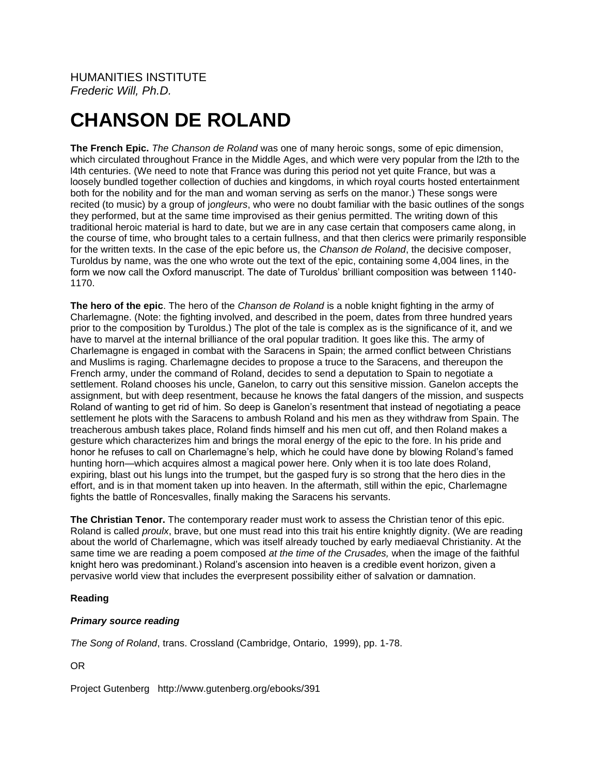# **CHANSON DE ROLAND**

**The French Epic.** *The Chanson de Roland* was one of many heroic songs, some of epic dimension, which circulated throughout France in the Middle Ages, and which were very popular from the l2th to the l4th centuries. (We need to note that France was during this period not yet quite France, but was a loosely bundled together collection of duchies and kingdoms, in which royal courts hosted entertainment both for the nobility and for the man and woman serving as serfs on the manor.) These songs were recited (to music) by a group of j*ongleurs*, who were no doubt familiar with the basic outlines of the songs they performed, but at the same time improvised as their genius permitted. The writing down of this traditional heroic material is hard to date, but we are in any case certain that composers came along, in the course of time, who brought tales to a certain fullness, and that then clerics were primarily responsible for the written texts. In the case of the epic before us, the *Chanson de Roland*, the decisive composer, Turoldus by name, was the one who wrote out the text of the epic, containing some 4,004 lines, in the form we now call the Oxford manuscript. The date of Turoldus' brilliant composition was between 1140- 1170.

**The hero of the epic**. The hero of the *Chanson de Roland* is a noble knight fighting in the army of Charlemagne. (Note: the fighting involved, and described in the poem, dates from three hundred years prior to the composition by Turoldus.) The plot of the tale is complex as is the significance of it, and we have to marvel at the internal brilliance of the oral popular tradition. It goes like this. The army of Charlemagne is engaged in combat with the Saracens in Spain; the armed conflict between Christians and Muslims is raging. Charlemagne decides to propose a truce to the Saracens, and thereupon the French army, under the command of Roland, decides to send a deputation to Spain to negotiate a settlement. Roland chooses his uncle, Ganelon, to carry out this sensitive mission. Ganelon accepts the assignment, but with deep resentment, because he knows the fatal dangers of the mission, and suspects Roland of wanting to get rid of him. So deep is Ganelon's resentment that instead of negotiating a peace settlement he plots with the Saracens to ambush Roland and his men as they withdraw from Spain. The treacherous ambush takes place, Roland finds himself and his men cut off, and then Roland makes a gesture which characterizes him and brings the moral energy of the epic to the fore. In his pride and honor he refuses to call on Charlemagne's help, which he could have done by blowing Roland's famed hunting horn—which acquires almost a magical power here. Only when it is too late does Roland, expiring, blast out his lungs into the trumpet, but the gasped fury is so strong that the hero dies in the effort, and is in that moment taken up into heaven. In the aftermath, still within the epic, Charlemagne fights the battle of Roncesvalles, finally making the Saracens his servants.

**The Christian Tenor.** The contemporary reader must work to assess the Christian tenor of this epic. Roland is called *proulx*, brave, but one must read into this trait his entire knightly dignity. (We are reading about the world of Charlemagne, which was itself already touched by early mediaeval Christianity. At the same time we are reading a poem composed *at the time of the Crusades,* when the image of the faithful knight hero was predominant.) Roland's ascension into heaven is a credible event horizon, given a pervasive world view that includes the everpresent possibility either of salvation or damnation.

# **Reading**

# *Primary source reading*

*The Song of Roland*, trans. Crossland (Cambridge, Ontario, 1999), pp. 1-78.

OR

Project Gutenberg http://www.gutenberg.org/ebooks/391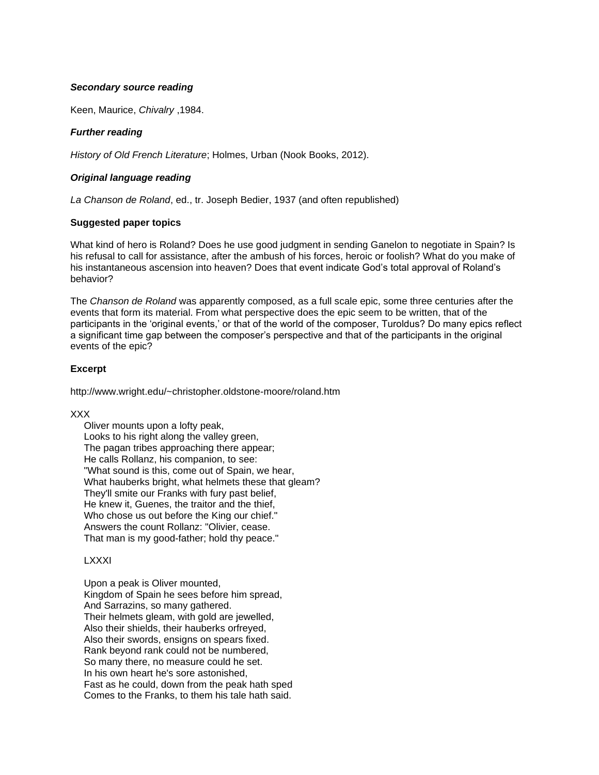#### *Secondary source reading*

Keen, Maurice, *Chivalry* ,1984.

## *Further reading*

*History of Old French Literature*; Holmes, Urban (Nook Books, 2012).

#### *Original language reading*

*La Chanson de Roland*, ed., tr. Joseph Bedier, 1937 (and often republished)

## **Suggested paper topics**

What kind of hero is Roland? Does he use good judgment in sending Ganelon to negotiate in Spain? Is his refusal to call for assistance, after the ambush of his forces, heroic or foolish? What do you make of his instantaneous ascension into heaven? Does that event indicate God's total approval of Roland's behavior?

The *Chanson de Roland* was apparently composed, as a full scale epic, some three centuries after the events that form its material. From what perspective does the epic seem to be written, that of the participants in the 'original events,' or that of the world of the composer, Turoldus? Do many epics reflect a significant time gap between the composer's perspective and that of the participants in the original events of the epic?

## **Excerpt**

http://www.wright.edu/~christopher.oldstone-moore/roland.htm

#### XXX

 Oliver mounts upon a lofty peak, Looks to his right along the valley green, The pagan tribes approaching there appear; He calls Rollanz, his companion, to see: "What sound is this, come out of Spain, we hear, What hauberks bright, what helmets these that gleam? They'll smite our Franks with fury past belief, He knew it, Guenes, the traitor and the thief, Who chose us out before the King our chief." Answers the count Rollanz: "Olivier, cease. That man is my good-father; hold thy peace."

# **LXXXI**

 Upon a peak is Oliver mounted, Kingdom of Spain he sees before him spread, And Sarrazins, so many gathered. Their helmets gleam, with gold are jewelled, Also their shields, their hauberks orfreyed, Also their swords, ensigns on spears fixed. Rank beyond rank could not be numbered, So many there, no measure could he set. In his own heart he's sore astonished, Fast as he could, down from the peak hath sped Comes to the Franks, to them his tale hath said.